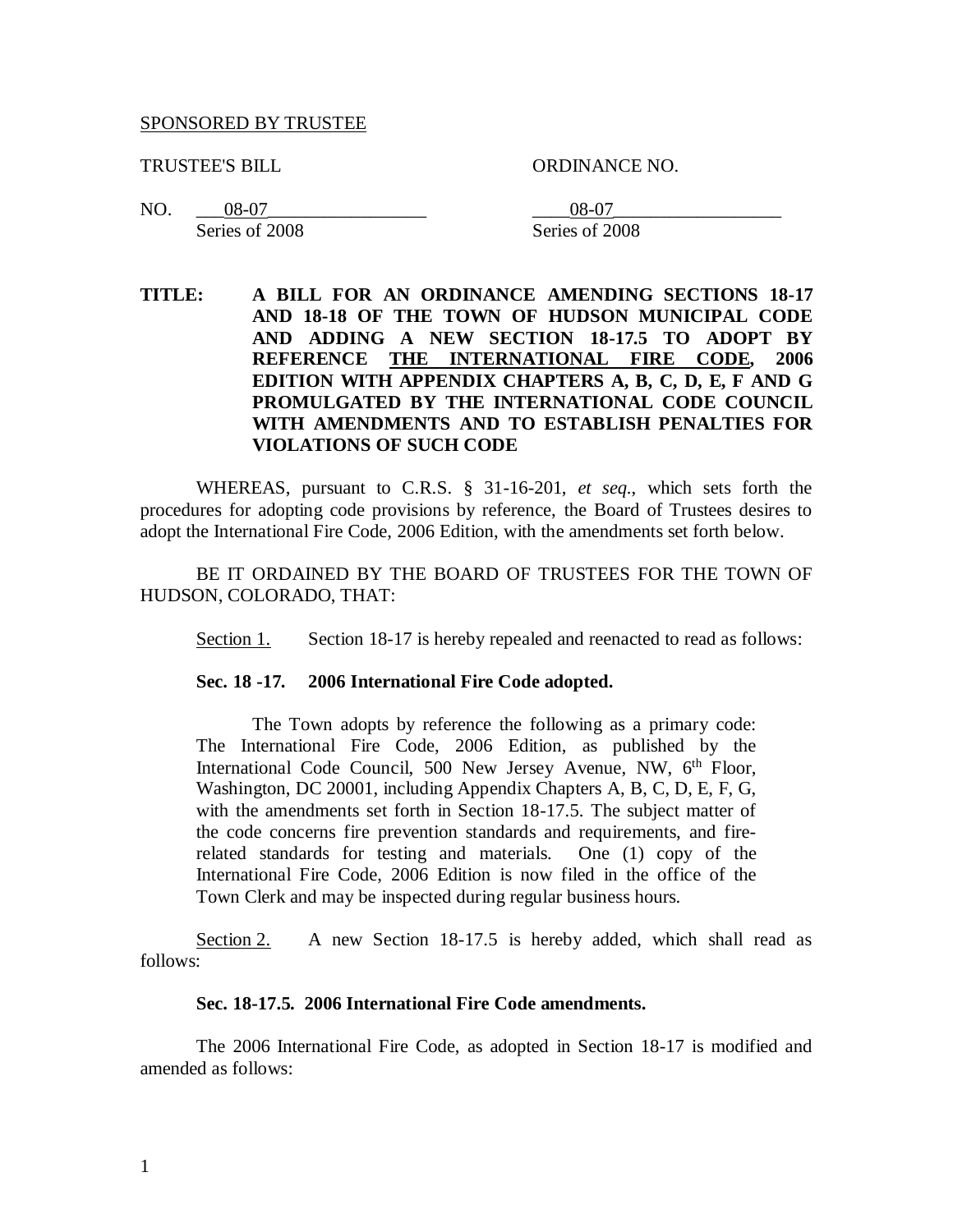#### SPONSORED BY TRUSTEE

TRUSTEE'S BILL ORDINANCE NO.

NO. \_\_\_08-07\_\_\_\_\_\_\_\_\_\_\_\_\_\_\_\_\_ \_\_\_\_08-07\_\_\_\_\_\_\_\_\_\_\_\_\_\_\_\_\_\_ Series of 2008 Series of 2008

**TITLE: A BILL FOR AN ORDINANCE AMENDING SECTIONS 18-17 AND 18-18 OF THE TOWN OF HUDSON MUNICIPAL CODE AND ADDING A NEW SECTION 18-17.5 TO ADOPT BY REFERENCE THE INTERNATIONAL FIRE CODE, 2006 EDITION WITH APPENDIX CHAPTERS A, B, C, D, E, F AND G PROMULGATED BY THE INTERNATIONAL CODE COUNCIL WITH AMENDMENTS AND TO ESTABLISH PENALTIES FOR VIOLATIONS OF SUCH CODE**

WHEREAS, pursuant to C.R.S. § 31-16-201, *et seq.*, which sets forth the procedures for adopting code provisions by reference, the Board of Trustees desires to adopt the International Fire Code, 2006 Edition, with the amendments set forth below.

BE IT ORDAINED BY THE BOARD OF TRUSTEES FOR THE TOWN OF HUDSON, COLORADO, THAT:

Section 1. Section 18-17 is hereby repealed and reenacted to read as follows:

#### **Sec. 18 -17. 2006 International Fire Code adopted.**

The Town adopts by reference the following as a primary code: The International Fire Code, 2006 Edition, as published by the International Code Council, 500 New Jersey Avenue, NW, 6<sup>th</sup> Floor, Washington, DC 20001, including Appendix Chapters A, B, C, D, E, F, G, with the amendments set forth in Section 18-17.5. The subject matter of the code concerns fire prevention standards and requirements, and firerelated standards for testing and materials. One (1) copy of the International Fire Code, 2006 Edition is now filed in the office of the Town Clerk and may be inspected during regular business hours.

Section 2. A new Section 18-17.5 is hereby added, which shall read as follows:

#### **Sec. 18-17.5. 2006 International Fire Code amendments.**

The 2006 International Fire Code, as adopted in Section 18-17 is modified and amended as follows: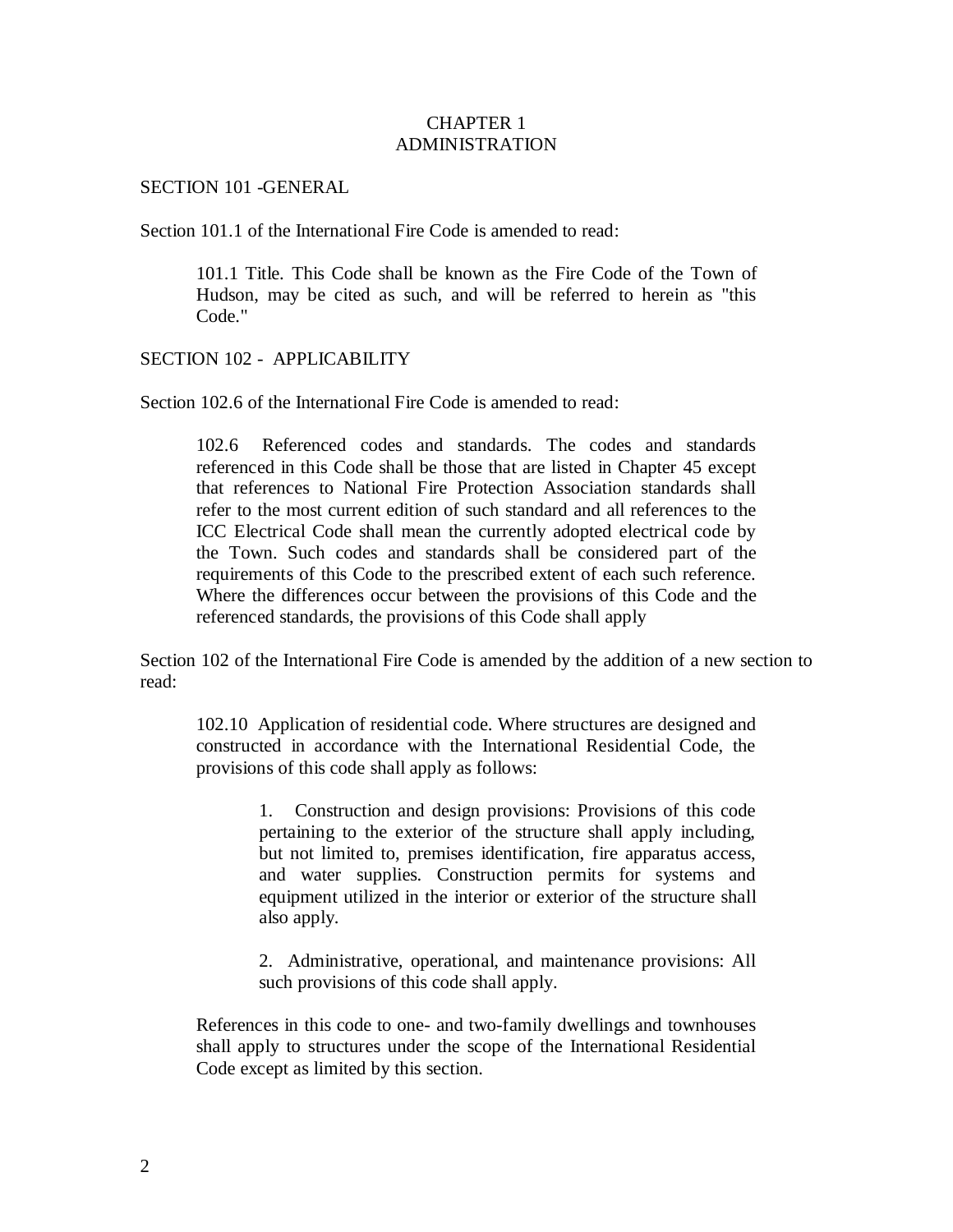### CHAPTER 1 ADMINISTRATION

#### SECTION 101 -GENERAL

Section 101.1 of the International Fire Code is amended to read:

101.1 Title. This Code shall be known as the Fire Code of the Town of Hudson, may be cited as such, and will be referred to herein as "this Code."

## SECTION 102 - APPLICABILITY

Section 102.6 of the International Fire Code is amended to read:

102.6 Referenced codes and standards. The codes and standards referenced in this Code shall be those that are listed in Chapter 45 except that references to National Fire Protection Association standards shall refer to the most current edition of such standard and all references to the ICC Electrical Code shall mean the currently adopted electrical code by the Town. Such codes and standards shall be considered part of the requirements of this Code to the prescribed extent of each such reference. Where the differences occur between the provisions of this Code and the referenced standards, the provisions of this Code shall apply

Section 102 of the International Fire Code is amended by the addition of a new section to read:

102.10 Application of residential code. Where structures are designed and constructed in accordance with the International Residential Code, the provisions of this code shall apply as follows:

> 1. Construction and design provisions: Provisions of this code pertaining to the exterior of the structure shall apply including, but not limited to, premises identification, fire apparatus access, and water supplies. Construction permits for systems and equipment utilized in the interior or exterior of the structure shall also apply.

> 2. Administrative, operational, and maintenance provisions: All such provisions of this code shall apply.

References in this code to one- and two-family dwellings and townhouses shall apply to structures under the scope of the International Residential Code except as limited by this section.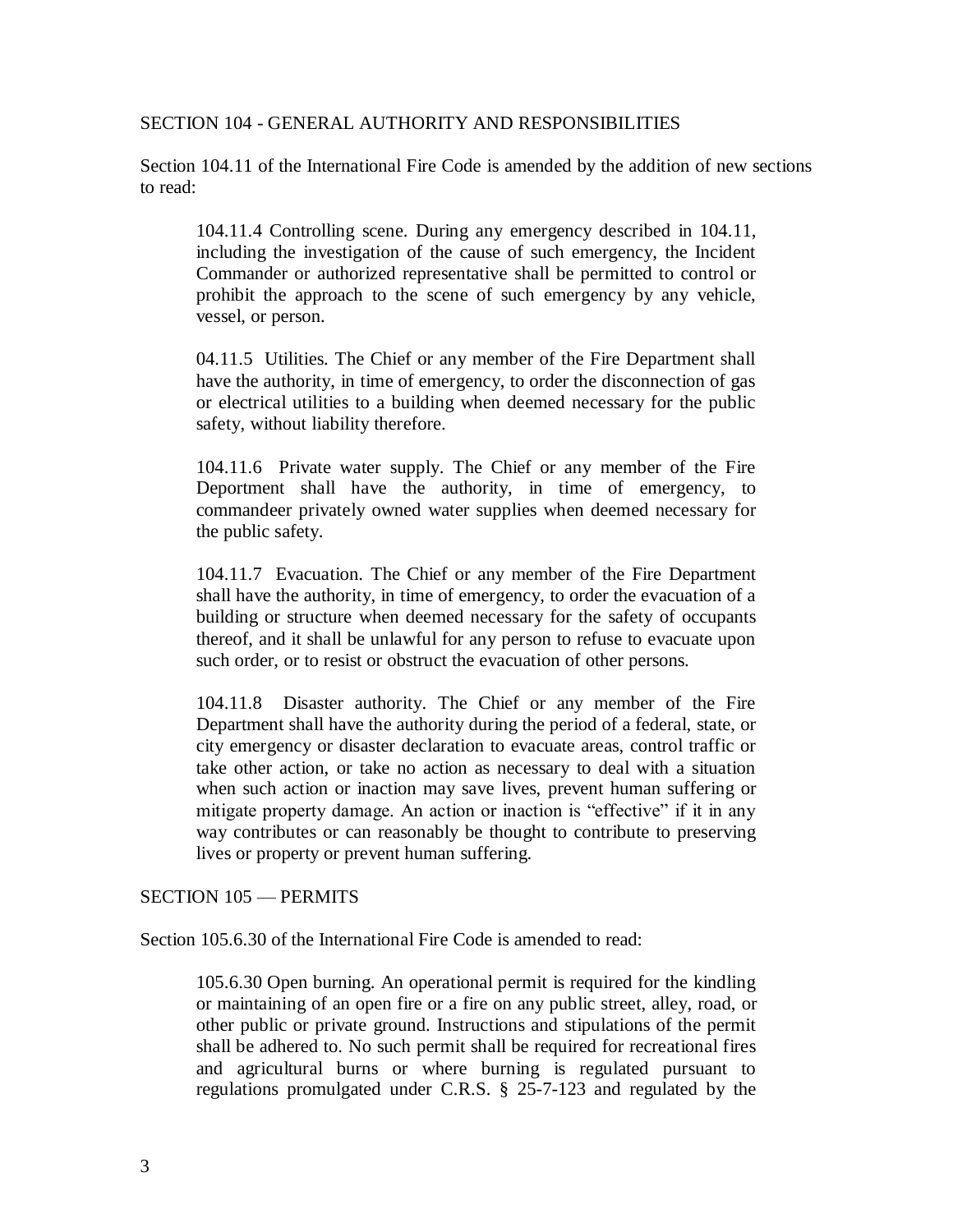SECTION 104 - GENERAL AUTHORITY AND RESPONSIBILITIES

Section 104.11 of the International Fire Code is amended by the addition of new sections to read:

104.11.4 Controlling scene. During any emergency described in 104.11, including the investigation of the cause of such emergency, the Incident Commander or authorized representative shall be permitted to control or prohibit the approach to the scene of such emergency by any vehicle, vessel, or person.

04.11.5 Utilities. The Chief or any member of the Fire Department shall have the authority, in time of emergency, to order the disconnection of gas or electrical utilities to a building when deemed necessary for the public safety, without liability therefore.

104.11.6 Private water supply. The Chief or any member of the Fire Deportment shall have the authority, in time of emergency, to commandeer privately owned water supplies when deemed necessary for the public safety.

104.11.7 Evacuation. The Chief or any member of the Fire Department shall have the authority, in time of emergency, to order the evacuation of a building or structure when deemed necessary for the safety of occupants thereof, and it shall be unlawful for any person to refuse to evacuate upon such order, or to resist or obstruct the evacuation of other persons.

104.11.8 Disaster authority. The Chief or any member of the Fire Department shall have the authority during the period of a federal, state, or city emergency or disaster declaration to evacuate areas, control traffic or take other action, or take no action as necessary to deal with a situation when such action or inaction may save lives, prevent human suffering or mitigate property damage. An action or inaction is "effective" if it in any way contributes or can reasonably be thought to contribute to preserving lives or property or prevent human suffering.

SECTION 105 — PERMITS

Section 105.6.30 of the International Fire Code is amended to read:

105.6.30 Open burning. An operational permit is required for the kindling or maintaining of an open fire or a fire on any public street, alley, road, or other public or private ground. Instructions and stipulations of the permit shall be adhered to. No such permit shall be required for recreational fires and agricultural burns or where burning is regulated pursuant to regulations promulgated under C.R.S. § 25-7-123 and regulated by the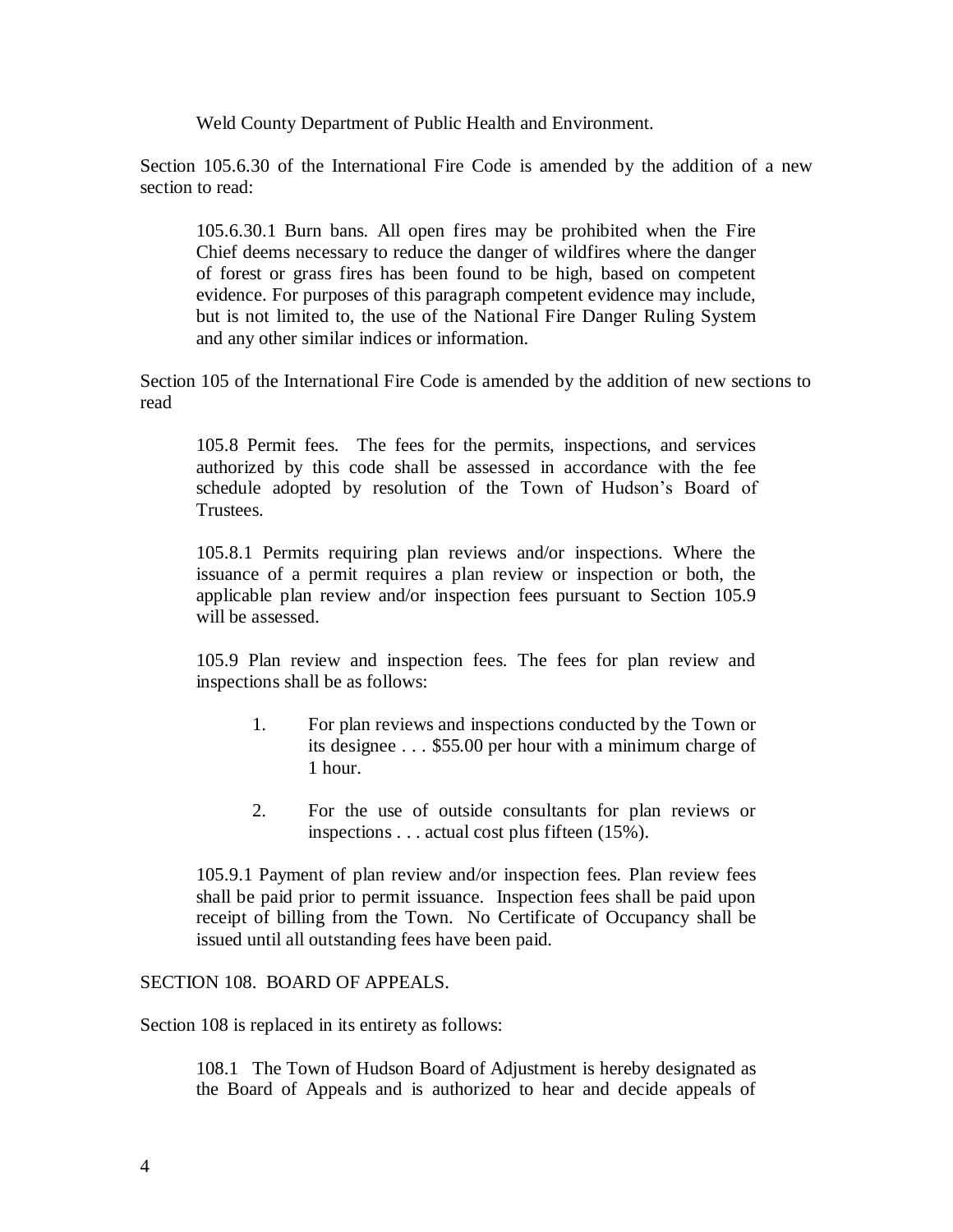Weld County Department of Public Health and Environment.

Section 105.6.30 of the International Fire Code is amended by the addition of a new section to read:

105.6.30.1 Burn bans. All open fires may be prohibited when the Fire Chief deems necessary to reduce the danger of wildfires where the danger of forest or grass fires has been found to be high, based on competent evidence. For purposes of this paragraph competent evidence may include, but is not limited to, the use of the National Fire Danger Ruling System and any other similar indices or information.

Section 105 of the International Fire Code is amended by the addition of new sections to read

105.8 Permit fees. The fees for the permits, inspections, and services authorized by this code shall be assessed in accordance with the fee schedule adopted by resolution of the Town of Hudson's Board of **Trustees**.

105.8.1 Permits requiring plan reviews and/or inspections. Where the issuance of a permit requires a plan review or inspection or both, the applicable plan review and/or inspection fees pursuant to Section 105.9 will be assessed.

105.9 Plan review and inspection fees. The fees for plan review and inspections shall be as follows:

- 1. For plan reviews and inspections conducted by the Town or its designee . . . \$55.00 per hour with a minimum charge of 1 hour.
- 2. For the use of outside consultants for plan reviews or inspections . . . actual cost plus fifteen (15%).

105.9.1 Payment of plan review and/or inspection fees. Plan review fees shall be paid prior to permit issuance. Inspection fees shall be paid upon receipt of billing from the Town. No Certificate of Occupancy shall be issued until all outstanding fees have been paid.

## SECTION 108. BOARD OF APPEALS.

Section 108 is replaced in its entirety as follows:

108.1 The Town of Hudson Board of Adjustment is hereby designated as the Board of Appeals and is authorized to hear and decide appeals of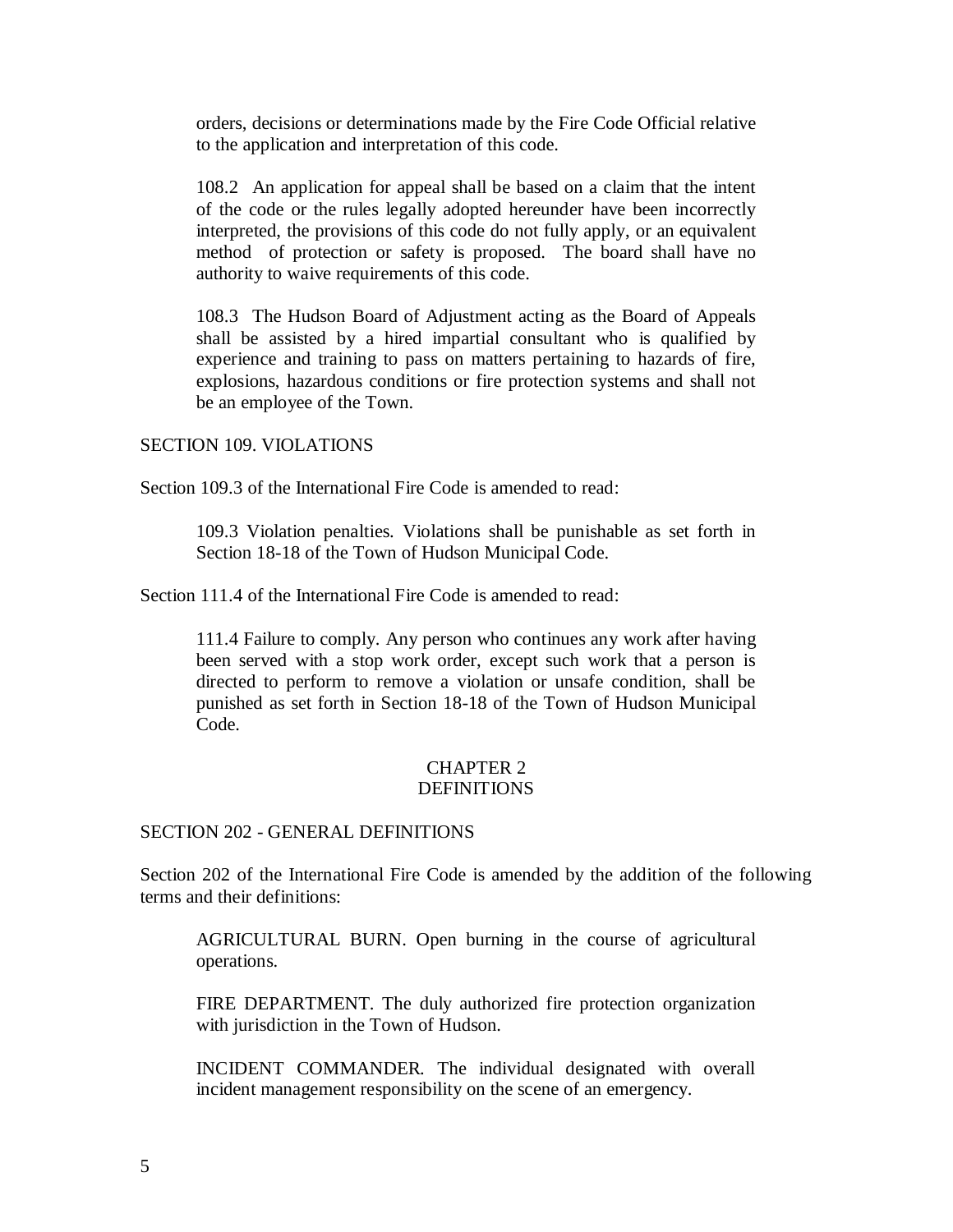orders, decisions or determinations made by the Fire Code Official relative to the application and interpretation of this code.

108.2 An application for appeal shall be based on a claim that the intent of the code or the rules legally adopted hereunder have been incorrectly interpreted, the provisions of this code do not fully apply, or an equivalent method of protection or safety is proposed. The board shall have no authority to waive requirements of this code.

108.3 The Hudson Board of Adjustment acting as the Board of Appeals shall be assisted by a hired impartial consultant who is qualified by experience and training to pass on matters pertaining to hazards of fire, explosions, hazardous conditions or fire protection systems and shall not be an employee of the Town.

### SECTION 109. VIOLATIONS

Section 109.3 of the International Fire Code is amended to read:

109.3 Violation penalties. Violations shall be punishable as set forth in Section 18-18 of the Town of Hudson Municipal Code.

Section 111.4 of the International Fire Code is amended to read:

111.4 Failure to comply. Any person who continues any work after having been served with a stop work order, except such work that a person is directed to perform to remove a violation or unsafe condition, shall be punished as set forth in Section 18-18 of the Town of Hudson Municipal Code.

## CHAPTER 2 DEFINITIONS

## SECTION 202 - GENERAL DEFINITIONS

Section 202 of the International Fire Code is amended by the addition of the following terms and their definitions:

AGRICULTURAL BURN. Open burning in the course of agricultural operations.

FIRE DEPARTMENT. The duly authorized fire protection organization with jurisdiction in the Town of Hudson.

INCIDENT COMMANDER. The individual designated with overall incident management responsibility on the scene of an emergency.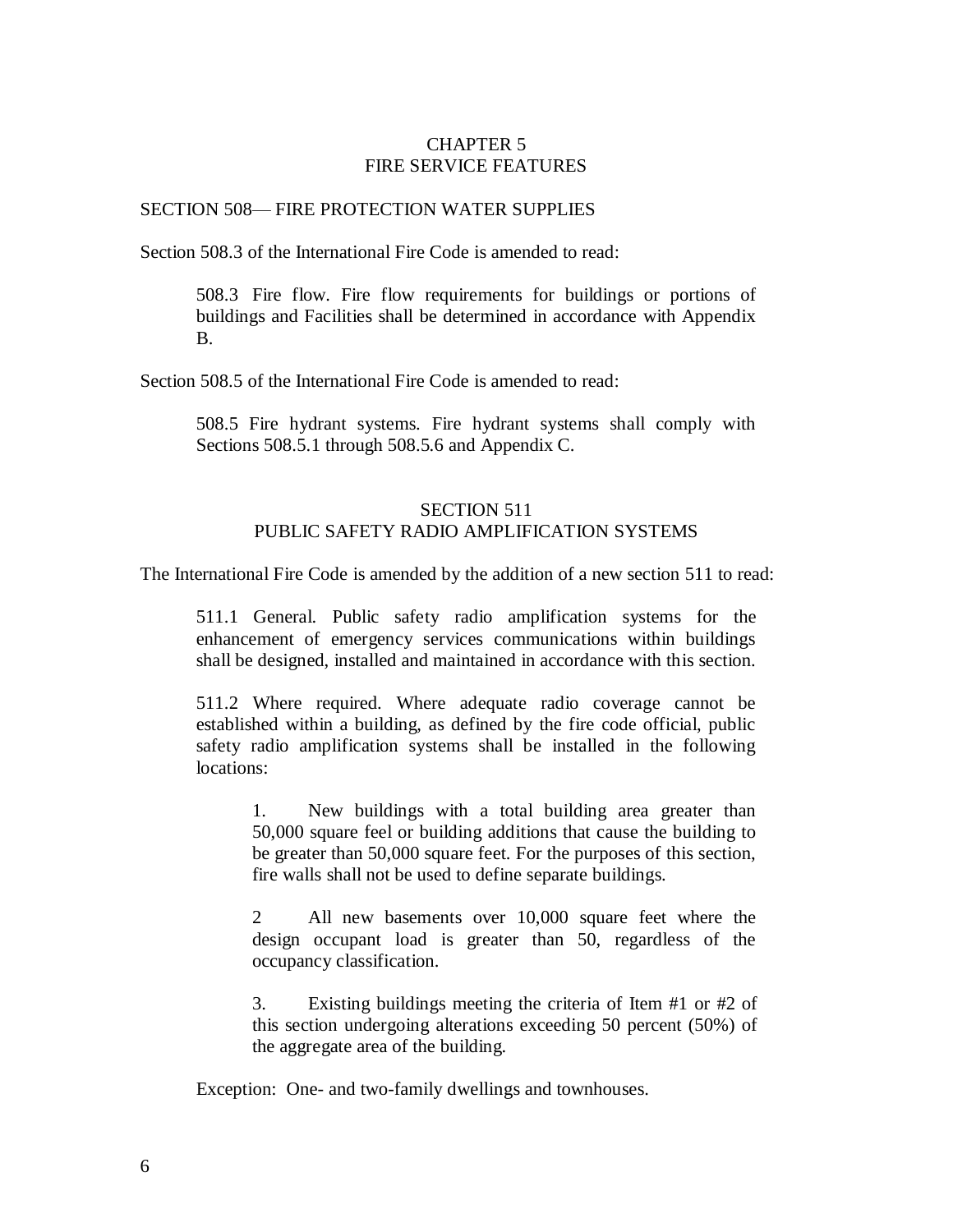# CHAPTER 5 FIRE SERVICE FEATURES

#### SECTION 508— FIRE PROTECTION WATER SUPPLIES

Section 508.3 of the International Fire Code is amended to read:

508.3 Fire flow. Fire flow requirements for buildings or portions of buildings and Facilities shall be determined in accordance with Appendix B.

Section 508.5 of the International Fire Code is amended to read:

508.5 Fire hydrant systems. Fire hydrant systems shall comply with Sections 508.5.1 through 508.5.6 and Appendix C.

# SECTION 511 PUBLIC SAFETY RADIO AMPLIFICATION SYSTEMS

The International Fire Code is amended by the addition of a new section 511 to read:

511.1 General. Public safety radio amplification systems for the enhancement of emergency services communications within buildings shall be designed, installed and maintained in accordance with this section.

511.2 Where required. Where adequate radio coverage cannot be established within a building, as defined by the fire code official, public safety radio amplification systems shall be installed in the following locations:

1. New buildings with a total building area greater than 50,000 square feel or building additions that cause the building to be greater than 50,000 square feet. For the purposes of this section, fire walls shall not be used to define separate buildings.

2 All new basements over 10,000 square feet where the design occupant load is greater than 50, regardless of the occupancy classification.

3. Existing buildings meeting the criteria of Item #1 or #2 of this section undergoing alterations exceeding 50 percent (50%) of the aggregate area of the building.

Exception: One- and two-family dwellings and townhouses.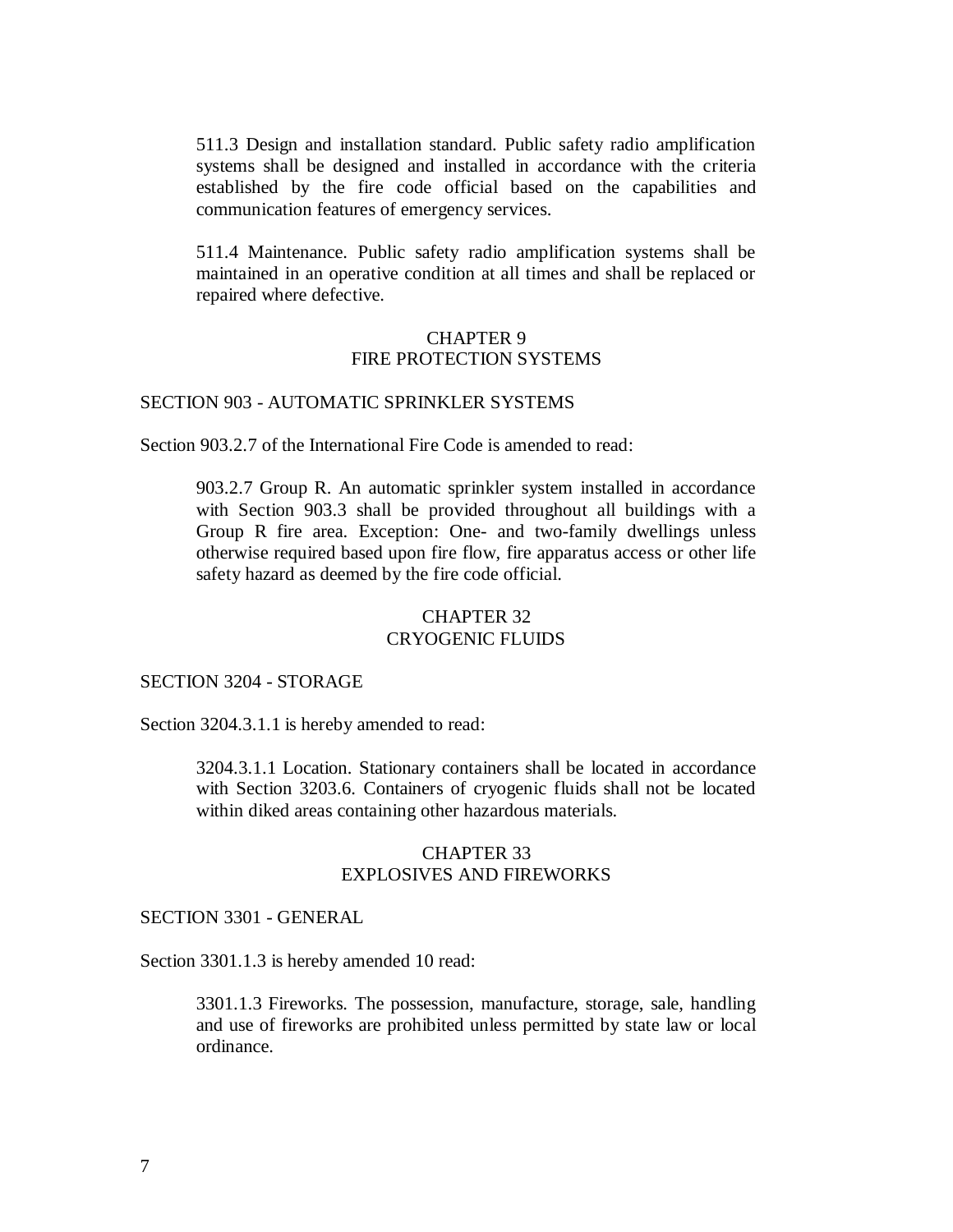511.3 Design and installation standard. Public safety radio amplification systems shall be designed and installed in accordance with the criteria established by the fire code official based on the capabilities and communication features of emergency services.

511.4 Maintenance. Public safety radio amplification systems shall be maintained in an operative condition at all times and shall be replaced or repaired where defective.

### CHAPTER 9 FIRE PROTECTION SYSTEMS

# SECTION 903 - AUTOMATIC SPRINKLER SYSTEMS

Section 903.2.7 of the International Fire Code is amended to read:

903.2.7 Group R. An automatic sprinkler system installed in accordance with Section 903.3 shall be provided throughout all buildings with a Group R fire area. Exception: One- and two-family dwellings unless otherwise required based upon fire flow, fire apparatus access or other life safety hazard as deemed by the fire code official.

## CHAPTER 32 CRYOGENIC FLUIDS

#### SECTION 3204 - STORAGE

Section 3204.3.1.1 is hereby amended to read:

3204.3.1.1 Location. Stationary containers shall be located in accordance with Section 3203.6. Containers of cryogenic fluids shall not be located within diked areas containing other hazardous materials.

#### CHAPTER 33 EXPLOSIVES AND FIREWORKS

#### SECTION 3301 - GENERAL

Section 3301.1.3 is hereby amended 10 read:

3301.1.3 Fireworks. The possession, manufacture, storage, sale, handling and use of fireworks are prohibited unless permitted by state law or local ordinance.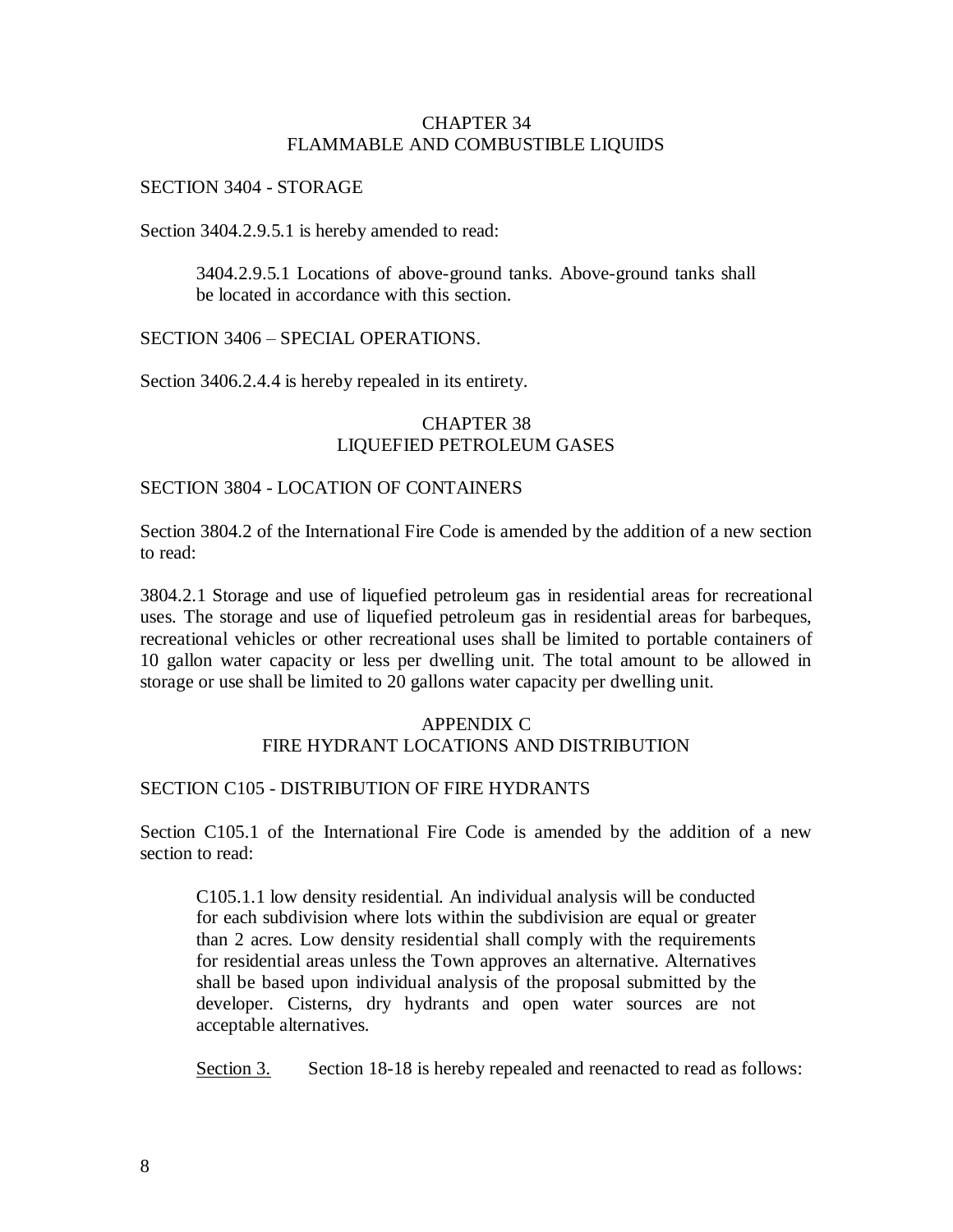## CHAPTER 34 FLAMMABLE AND COMBUSTIBLE LIQUIDS

### SECTION 3404 - STORAGE

Section 3404.2.9.5.1 is hereby amended to read:

3404.2.9.5.1 Locations of above-ground tanks. Above-ground tanks shall be located in accordance with this section.

SECTION 3406 – SPECIAL OPERATIONS.

Section 3406.2.4.4 is hereby repealed in its entirety.

# CHAPTER 38 LIQUEFIED PETROLEUM GASES

## SECTION 3804 - LOCATION OF CONTAINERS

Section 3804.2 of the International Fire Code is amended by the addition of a new section to read:

3804.2.1 Storage and use of liquefied petroleum gas in residential areas for recreational uses. The storage and use of liquefied petroleum gas in residential areas for barbeques, recreational vehicles or other recreational uses shall be limited to portable containers of 10 gallon water capacity or less per dwelling unit. The total amount to be allowed in storage or use shall be limited to 20 gallons water capacity per dwelling unit.

# APPENDIX C FIRE HYDRANT LOCATIONS AND DISTRIBUTION

## SECTION C105 - DISTRIBUTION OF FIRE HYDRANTS

Section C105.1 of the International Fire Code is amended by the addition of a new section to read:

C105.1.1 low density residential. An individual analysis will be conducted for each subdivision where lots within the subdivision are equal or greater than 2 acres. Low density residential shall comply with the requirements for residential areas unless the Town approves an alternative. Alternatives shall be based upon individual analysis of the proposal submitted by the developer. Cisterns, dry hydrants and open water sources are not acceptable alternatives.

Section 3. Section 18-18 is hereby repealed and reenacted to read as follows: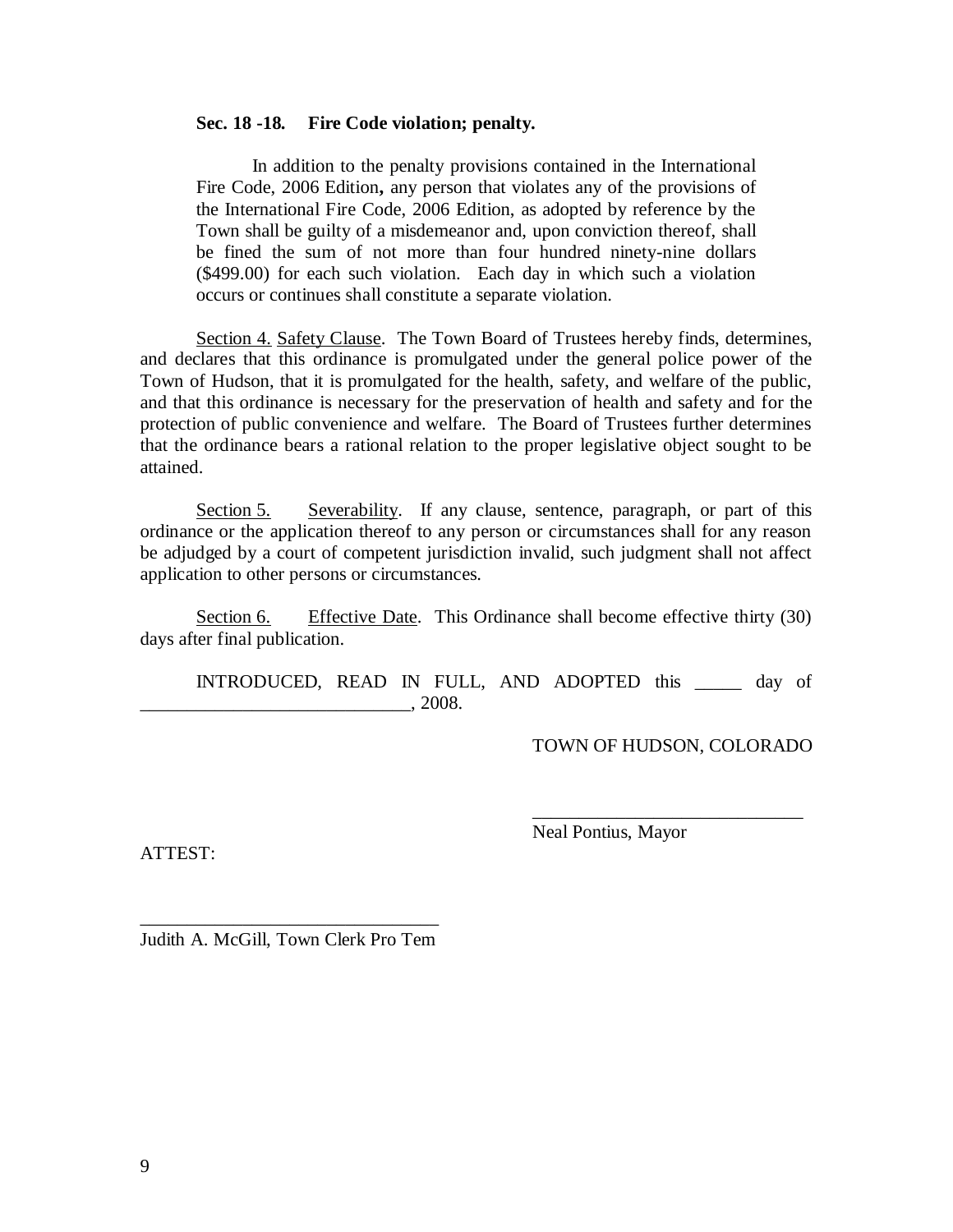#### **Sec. 18 -18. Fire Code violation; penalty.**

In addition to the penalty provisions contained in the International Fire Code, 2006 Edition**,** any person that violates any of the provisions of the International Fire Code, 2006 Edition, as adopted by reference by the Town shall be guilty of a misdemeanor and, upon conviction thereof, shall be fined the sum of not more than four hundred ninety-nine dollars (\$499.00) for each such violation. Each day in which such a violation occurs or continues shall constitute a separate violation.

Section 4. Safety Clause. The Town Board of Trustees hereby finds, determines, and declares that this ordinance is promulgated under the general police power of the Town of Hudson, that it is promulgated for the health, safety, and welfare of the public, and that this ordinance is necessary for the preservation of health and safety and for the protection of public convenience and welfare. The Board of Trustees further determines that the ordinance bears a rational relation to the proper legislative object sought to be attained.

Section 5. Severability. If any clause, sentence, paragraph, or part of this ordinance or the application thereof to any person or circumstances shall for any reason be adjudged by a court of competent jurisdiction invalid, such judgment shall not affect application to other persons or circumstances.

Section 6. Effective Date. This Ordinance shall become effective thirty (30) days after final publication.

INTRODUCED, READ IN FULL, AND ADOPTED this \_\_\_\_\_ day of  $. \ 2008.$ 

TOWN OF HUDSON, COLORADO

\_\_\_\_\_\_\_\_\_\_\_\_\_\_\_\_\_\_\_\_\_\_\_\_\_\_\_\_\_

ATTEST:

Neal Pontius, Mayor

\_\_\_\_\_\_\_\_\_\_\_\_\_\_\_\_\_\_\_\_\_\_\_\_\_\_\_\_\_\_\_\_ Judith A. McGill, Town Clerk Pro Tem